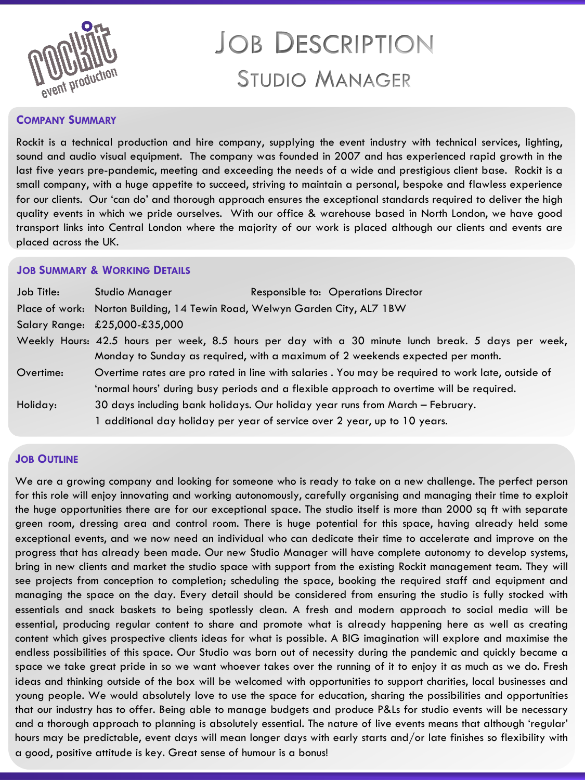

# **JOB DESCRIPTION STUDIO MANAGER**

#### **COMPANY SUMMARY**

Rockit is a technical production and hire company, supplying the event industry with technical services, lighting, sound and audio visual equipment. The company was founded in 2007 and has experienced rapid growth in the last five years pre-pandemic, meeting and exceeding the needs of a wide and prestigious client base. Rockit is a small company, with a huge appetite to succeed, striving to maintain a personal, bespoke and flawless experience for our clients. Our 'can do' and thorough approach ensures the exceptional standards required to deliver the high quality events in which we pride ourselves. With our office & warehouse based in North London, we have good transport links into Central London where the majority of our work is placed although our clients and events are placed across the UK.

### **JOB SUMMARY & WORKING DETAILS**

| Job Title: | Studio Manager                                                                                                                                                                        | Responsible to: Operations Director                                                               |
|------------|---------------------------------------------------------------------------------------------------------------------------------------------------------------------------------------|---------------------------------------------------------------------------------------------------|
|            | Place of work: Norton Building, 14 Tewin Road, Welwyn Garden City, AL7 1BW                                                                                                            |                                                                                                   |
|            | Salary Range: £25,000-£35,000                                                                                                                                                         |                                                                                                   |
|            | Weekly Hours: 42.5 hours per week, 8.5 hours per day with a 30 minute lunch break. 5 days per week,<br>Monday to Sunday as required, with a maximum of 2 weekends expected per month. |                                                                                                   |
| Overtime:  |                                                                                                                                                                                       | Overtime rates are pro rated in line with salaries . You may be required to work late, outside of |
|            | 'normal hours' during busy periods and a flexible approach to overtime will be required.                                                                                              |                                                                                                   |
| Holiday:   |                                                                                                                                                                                       | 30 days including bank holidays. Our holiday year runs from March - February.                     |
|            |                                                                                                                                                                                       | 1 additional day holiday per year of service over 2 year, up to 10 years.                         |

## **JOB OUTLINE**

We are a growing company and looking for someone who is ready to take on a new challenge. The perfect person for this role will enjoy innovating and working autonomously, carefully organising and managing their time to exploit the huge opportunities there are for our exceptional space. The studio itself is more than 2000 sq ft with separate green room, dressing area and control room. There is huge potential for this space, having already held some exceptional events, and we now need an individual who can dedicate their time to accelerate and improve on the progress that has already been made. Our new Studio Manager will have complete autonomy to develop systems, bring in new clients and market the studio space with support from the existing Rockit management team. They will see projects from conception to completion; scheduling the space, booking the required staff and equipment and managing the space on the day. Every detail should be considered from ensuring the studio is fully stocked with essentials and snack baskets to being spotlessly clean. A fresh and modern approach to social media will be essential, producing regular content to share and promote what is already happening here as well as creating content which gives prospective clients ideas for what is possible. A BIG imagination will explore and maximise the endless possibilities of this space. Our Studio was born out of necessity during the pandemic and quickly became a space we take great pride in so we want whoever takes over the running of it to enjoy it as much as we do. Fresh ideas and thinking outside of the box will be welcomed with opportunities to support charities, local businesses and young people. We would absolutely love to use the space for education, sharing the possibilities and opportunities that our industry has to offer. Being able to manage budgets and produce P&Ls for studio events will be necessary and a thorough approach to planning is absolutely essential. The nature of live events means that although 'regular' hours may be predictable, event days will mean longer days with early starts and/or late finishes so flexibility with a good, positive attitude is key. Great sense of humour is a bonus!